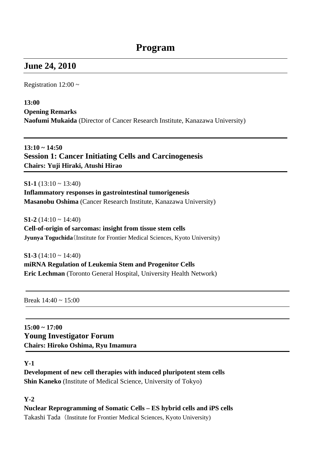# **June 24, 2010**

Registration  $12:00 \sim$ 

**13:00** 

**Opening Remarks** 

**Naofumi Mukaida** (Director of Cancer Research Institute, Kanazawa University)

## **13:10 ~ 14:50 Session 1: Cancer Initiating Cells and Carcinogenesis Chairs: Yuji Hiraki, Atushi Hirao**

**S1-1** (13:10 ~ 13:40) **Inflammatory responses in gastrointestinal tumorigenesis Masanobu Oshima** (Cancer Research Institute, Kanazawa University)

**S1-2** (14:10 ~ 14:40)

**Cell-of-origin of sarcomas: insight from tissue stem cells Jyunya Toguchida**(Institute for Frontier Medical Sciences, Kyoto University)

**S1-3** (14:10  $\sim$  14:40) **miRNA Regulation of Leukemia Stem and Progenitor Cells Eric Lechman** (Toronto General Hospital, University Health Network)

Break  $14:40 \sim 15:00$ 

**15:00 ~ 17:00 Young Investigator Forum Chairs: Hiroko Oshima, Ryu Imamura** 

#### **Y-1**

**Development of new cell therapies with induced pluripotent stem cells Shin Kaneko** (Institute of Medical Science, University of Tokyo)

#### **Y-2**

**Nuclear Reprogramming of Somatic Cells – ES hybrid cells and iPS cells**  Takashi Tada (Institute for Frontier Medical Sciences, Kyoto University)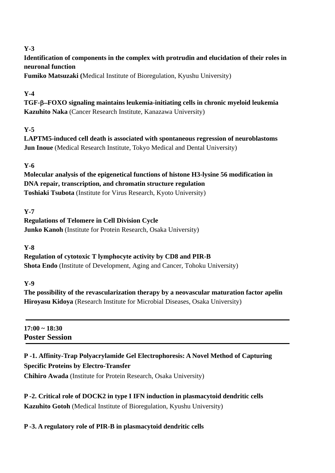## **Y-3**

**Identification of components in the complex with protrudin and elucidation of their roles in neuronal function** 

**Fumiko Matsuzaki (**Medical Institute of Bioregulation, Kyushu University)

## **Y-4**

**TGF-**–**FOXO signaling maintains leukemia-initiating cells in chronic myeloid leukemia Kazuhito Naka** (Cancer Research Institute, Kanazawa University)

## **Y-5**

**LAPTM5-induced cell death is associated with spontaneous regression of neuroblastoms Jun Inoue** (Medical Research Institute, Tokyo Medical and Dental University)

## **Y-6**

**Molecular analysis of the epigenetical functions of histone H3-lysine 56 modification in DNA repair, transcription, and chromatin structure regulation Toshiaki Tsubota** (Institute for Virus Research, Kyoto University)

## **Y-7**

**Regulations of Telomere in Cell Division Cycle Junko Kanoh** (Institute for Protein Research, Osaka University)

**Y-8** 

**Regulation of cytotoxic T lymphocyte activity by CD8 and PIR-B Shota Endo** (Institute of Development, Aging and Cancer, Tohoku University)

#### **Y-9**

**The possibility of the revascularization therapy by a neovascular maturation factor apelin Hiroyasu Kidoya** (Research Institute for Microbial Diseases, Osaka University)

**17:00 ~ 18:30 Poster Session** 

# **P -1. Affinity-Trap Polyacrylamide Gel Electrophoresis: A Novel Method of Capturing Specific Proteins by Electro-Transfer**

**Chihiro Awada** (Institute for Protein Research, Osaka University)

**P -2. Critical role of DOCK2 in type I IFN induction in plasmacytoid dendritic cells Kazuhito Gotoh** (Medical Institute of Bioregulation, Kyushu University)

**P -3. A regulatory role of PIR-B in plasmacytoid dendritic cells**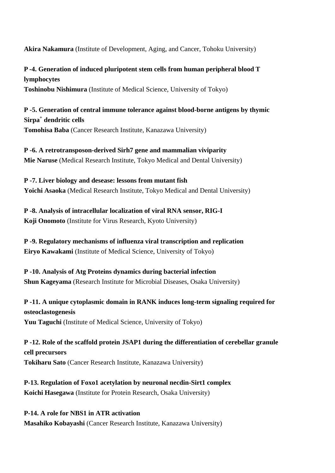**Akira Nakamura** (Institute of Development, Aging, and Cancer, Tohoku University)

**P -4. Generation of induced pluripotent stem cells from human peripheral blood T lymphocytes Toshinobu Nishimura** (Institute of Medical Science, University of Tokyo)

**P -5. Generation of central immune tolerance against blood-borne antigens by thymic Sirpa+ dendritic cells Tomohisa Baba** (Cancer Research Institute, Kanazawa University)

**P -6. A retrotransposon-derived Sirh7 gene and mammalian viviparity Mie Naruse** (Medical Research Institute, Tokyo Medical and Dental University)

**P -7. Liver biology and desease: lessons from mutant fish Yoichi Asaoka** (Medical Research Institute, Tokyo Medical and Dental University)

**P -8. Analysis of intracellular localization of viral RNA sensor, RIG-I Koji Onomoto** (Institute for Virus Research, Kyoto University)

**P -9. Regulatory mechanisms of influenza viral transcription and replication Eiryo Kawakami** (Institute of Medical Science, University of Tokyo)

**P -10. Analysis of Atg Proteins dynamics during bacterial infection Shun Kageyama** (Research Institute for Microbial Diseases, Osaka University)

**P -11. A unique cytoplasmic domain in RANK induces long-term signaling required for osteoclastogenesis Yuu Taguchi** (Institute of Medical Science, University of Tokyo)

**P -12. Role of the scaffold protein JSAP1 during the differentiation of cerebellar granule cell precursors Tokiharu Sato** (Cancer Research Institute, Kanazawa University)

**P-13. Regulation of Foxo1 acetylation by neuronal necdin-Sirt1 complex Koichi Hasegawa** (Institute for Protein Research, Osaka University)

**P-14. A role for NBS1 in ATR activation Masahiko Kobayashi** (Cancer Research Institute, Kanazawa University)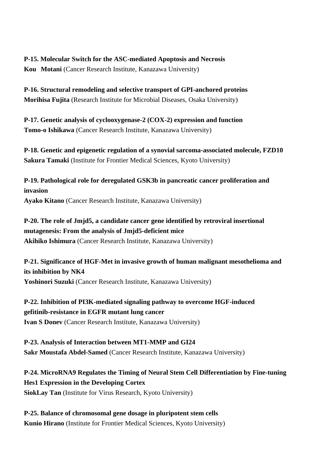**P-15. Molecular Switch for the ASC-mediated Apoptosis and Necrosis Kou Motani** (Cancer Research Institute, Kanazawa University)

**P-16. Structural remodeling and selective transport of GPI-anchored proteins Morihisa Fujita** (Research Institute for Microbial Diseases, Osaka University)

**P-17. Genetic analysis of cyclooxygenase-2 (COX-2) expression and function Tomo-o Ishikawa** (Cancer Research Institute, Kanazawa University)

**P-18. Genetic and epigenetic regulation of a synovial sarcoma-associated molecule, FZD10 Sakura Tamaki** (Institute for Frontier Medical Sciences, Kyoto University)

**P-19. Pathological role for deregulated GSK3b in pancreatic cancer proliferation and invasion Ayako Kitano** (Cancer Research Institute, Kanazawa University)

**P-20. The role of Jmjd5, a candidate cancer gene identified by retroviral insertional mutagenesis: From the analysis of Jmjd5-deficient mice Akihiko Ishimura** (Cancer Research Institute, Kanazawa University)

**P-21. Significance of HGF-Met in invasive growth of human malignant mesothelioma and its inhibition by NK4 Yoshinori Suzuki** (Cancer Research Institute, Kanazawa University)

**P-22. Inhibition of PI3K-mediated signaling pathway to overcome HGF-induced gefitinib-resistance in EGFR mutant lung cancer Ivan S Donev** (Cancer Research Institute, Kanazawa University)

**P-23. Analysis of Interaction between MT1-MMP and GI24 Sakr Moustafa Abdel-Samed** (Cancer Research Institute, Kanazawa University)

**P-24. MicroRNA9 Regulates the Timing of Neural Stem Cell Differentiation by Fine-tuning Hes1 Expression in the Developing Cortex SiokLay Tan** (Institute for Virus Research, Kyoto University)

**P-25. Balance of chromosomal gene dosage in pluripotent stem cells Kunio Hirano** (Institute for Frontier Medical Sciences, Kyoto University)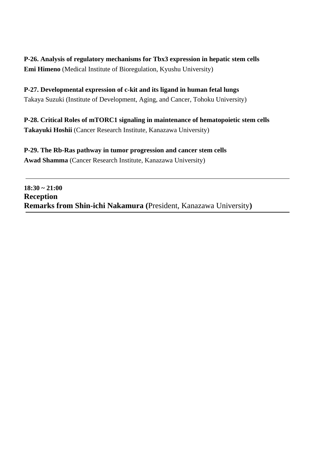## **P-26. Analysis of regulatory mechanisms for Tbx3 expression in hepatic stem cells Emi Himeno** (Medical Institute of Bioregulation, Kyushu University)

## **P-27. Developmental expression of c-kit and its ligand in human fetal lungs** Takaya Suzuki (Institute of Development, Aging, and Cancer, Tohoku University)

**P-28. Critical Roles of mTORC1 signaling in maintenance of hematopoietic stem cells Takayuki Hoshii** (Cancer Research Institute, Kanazawa University)

**P-29. The Rb-Ras pathway in tumor progression and cancer stem cells Awad Shamma** (Cancer Research Institute, Kanazawa University)

**18:30 ~ 21:00 Reception Remarks from Shin-ichi Nakamura (**President, Kanazawa University**)**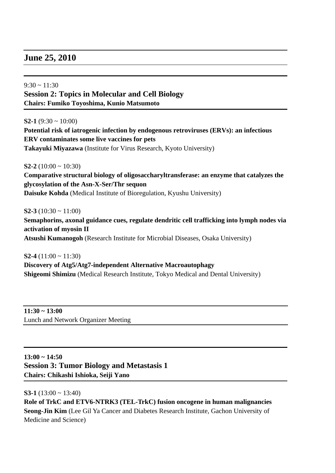## **June 25, 2010**

 $9:30 \approx 11:30$ **Session 2: Topics in Molecular and Cell Biology Chairs: Fumiko Toyoshima, Kunio Matsumoto** 

**S2-1** (9:30  $\sim$  10:00)

**Potential risk of iatrogenic infection by endogenous retroviruses (ERVs): an infectious ERV contaminates some live vaccines for pets Takayuki Miyazawa** (Institute for Virus Research, Kyoto University)

**S2-2** (10:00  $\sim$  10:30)

**Comparative structural biology of oligosaccharyltransferase: an enzyme that catalyzes the glycosylation of the Asn-X-Ser/Thr sequon Daisuke Kohda** (Medical Institute of Bioregulation, Kyushu University)

**S2-3** (10:30  $\sim$  11:00) **Semaphorins, axonal guidance cues, regulate dendritic cell trafficking into lymph nodes via activation of myosin II Atsushi Kumanogoh** (Research Institute for Microbial Diseases, Osaka University)

**S2-4** (11:00 ~ 11:30) **Discovery of Atg5/Atg7-independent Alternative Macroautophagy Shigeomi Shimizu** (Medical Research Institute, Tokyo Medical and Dental University)

**11:30 ~ 13:00**  Lunch and Network Organizer Meeting

**13:00 ~ 14:50 Session 3: Tumor Biology and Metastasis 1 Chairs: Chikashi Ishioka, Seiji Yano** 

**S3-1** (13:00 ~ 13:40) **Role of TrkC and ETV6-NTRK3 (TEL-TrkC) fusion oncogene in human malignancies Seong-Jin Kim** (Lee Gil Ya Cancer and Diabetes Research Institute, Gachon University of Medicine and Science)